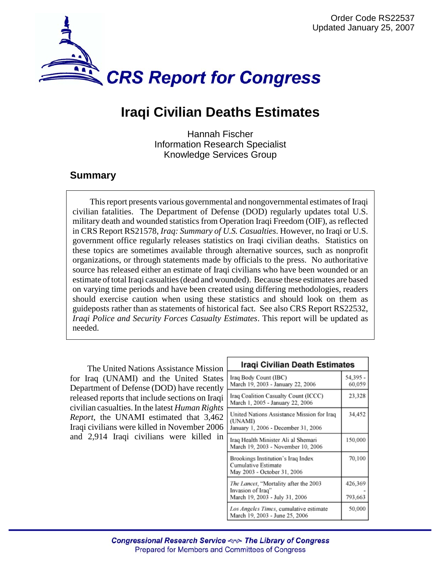

## **Iraqi Civilian Deaths Estimates**

Hannah Fischer Information Research Specialist Knowledge Services Group

## **Summary**

This report presents various governmental and nongovernmental estimates of Iraqi civilian fatalities. The Department of Defense (DOD) regularly updates total U.S. military death and wounded statistics from Operation Iraqi Freedom (OIF), as reflected in CRS Report RS21578, *Iraq: Summary of U.S. Casualties*. However, no Iraqi or U.S. government office regularly releases statistics on Iraqi civilian deaths. Statistics on these topics are sometimes available through alternative sources, such as nonprofit organizations, or through statements made by officials to the press. No authoritative source has released either an estimate of Iraqi civilians who have been wounded or an estimate of total Iraqi casualties (dead and wounded). Because these estimates are based on varying time periods and have been created using differing methodologies, readers should exercise caution when using these statistics and should look on them as guideposts rather than as statements of historical fact. See also CRS Report RS22532, *Iraqi Police and Security Forces Casualty Estimates*. This report will be updated as needed.

The United Nations Assistance Mission for Iraq (UNAMI) and the United States Department of Defense (DOD) have recently released reports that include sections on Iraqi civilian casualties. In the latest *Human Rights Report*, the UNAMI estimated that 3,462 Iraqi civilians were killed in November 2006 and 2,914 Iraqi civilians were killed in

| Iragi Civilian Death Estimates                                                               |                    |
|----------------------------------------------------------------------------------------------|--------------------|
| Iraq Body Count (IBC)<br>March 19, 2003 - January 22, 2006                                   | 54.395 -<br>60,059 |
| Iraq Coalition Casualty Count (ICCC)<br>March 1, 2005 - January 22, 2006                     | 23,328             |
| United Nations Assistance Mission for Iraq<br>(UNAMI)<br>January 1, 2006 - December 31, 2006 | 34,452             |
| Iraq Health Minister Ali al Shemari<br>March 19, 2003 - November 10, 2006                    | 150,000            |
| Brookings Institution's Iraq Index<br>Cumulative Estimate<br>May 2003 - October 31, 2006     | 70,100             |
| The Lancet, "Mortality after the 2003<br>Invasion of Iraq"<br>March 19, 2003 - July 31, 2006 | 426,369<br>793,663 |
| Los Angeles Times, cumulative estimate<br>March 19, 2003 - June 25, 2006                     | 50,000             |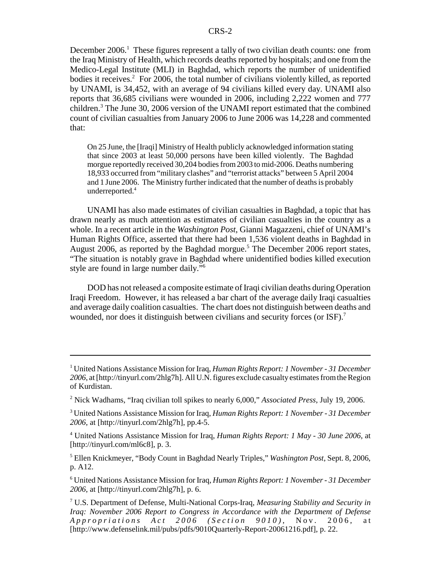December 2006.<sup>1</sup> These figures represent a tally of two civilian death counts: one from the Iraq Ministry of Health, which records deaths reported by hospitals; and one from the Medico-Legal Institute (MLI) in Baghdad, which reports the number of unidentified bodies it receives.<sup>2</sup> For 2006, the total number of civilians violently killed, as reported by UNAMI, is 34,452, with an average of 94 civilians killed every day. UNAMI also reports that 36,685 civilians were wounded in 2006, including 2,222 women and 777 children.<sup>3</sup> The June 30, 2006 version of the UNAMI report estimated that the combined count of civilian casualties from January 2006 to June 2006 was 14,228 and commented that:

On 25 June, the [Iraqi] Ministry of Health publicly acknowledged information stating that since 2003 at least 50,000 persons have been killed violently. The Baghdad morgue reportedly received 30,204 bodies from 2003 to mid-2006. Deaths numbering 18,933 occurred from "military clashes" and "terrorist attacks" between 5 April 2004 and 1 June 2006. The Ministry further indicated that the number of deaths is probably underreported.4

UNAMI has also made estimates of civilian casualties in Baghdad, a topic that has drawn nearly as much attention as estimates of civilian casualties in the country as a whole. In a recent article in the *Washington Post*, Gianni Magazzeni, chief of UNAMI's Human Rights Office, asserted that there had been 1,536 violent deaths in Baghdad in August 2006, as reported by the Baghdad morgue.<sup>5</sup> The December 2006 report states, "The situation is notably grave in Baghdad where unidentified bodies killed execution style are found in large number daily."6

DOD has not released a composite estimate of Iraqi civilian deaths during Operation Iraqi Freedom. However, it has released a bar chart of the average daily Iraqi casualties and average daily coalition casualties. The chart does not distinguish between deaths and wounded, nor does it distinguish between civilians and security forces (or  $ISF$ ).<sup>7</sup>

5 Ellen Knickmeyer, "Body Count in Baghdad Nearly Triples," *Washington Post*, Sept. 8, 2006, p. A12.

6 United Nations Assistance Mission for Iraq, *Human Rights Report: 1 November - 31 December 2006*, at [http://tinyurl.com/2hlg7h], p. 6.

<sup>1</sup> United Nations Assistance Mission for Iraq, *Human Rights Report: 1 November - 31 December 2006*, at [http://tinyurl.com/2hlg7h]. All U.N. figures exclude casualty estimates from the Region of Kurdistan.

<sup>2</sup> Nick Wadhams, "Iraq civilian toll spikes to nearly 6,000," *Associated Press*, July 19, 2006.

<sup>3</sup> United Nations Assistance Mission for Iraq, *Human Rights Report: 1 November - 31 December 2006*, at [http://tinyurl.com/2hlg7h], pp.4-5.

<sup>4</sup> United Nations Assistance Mission for Iraq, *Human Rights Report: 1 May - 30 June 2006*, at [http://tinyurl.com/ml6c8], p. 3.

<sup>7</sup> U.S. Department of Defense, Multi-National Corps-Iraq, *Measuring Stability and Security in Iraq: November 2006 Report to Congress in Accordance with the Department of Defense Appropriations Act 2006 (Section 9010)* , Nov. 2006, at [http://www.defenselink.mil/pubs/pdfs/9010Quarterly-Report-20061216.pdf], p. 22.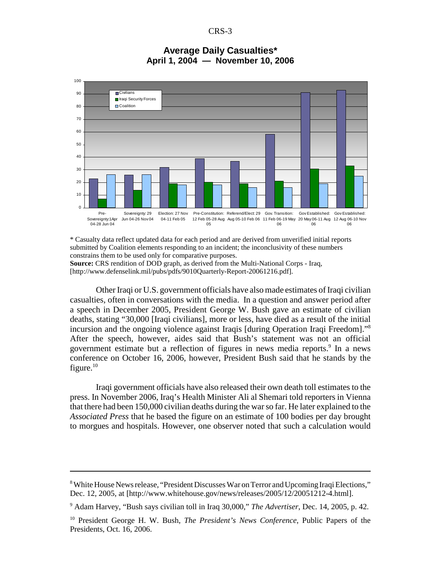CRS-3



## **Average Daily Casualties\* April 1, 2004 — November 10, 2006**

\* Casualty data reflect updated data for each period and are derived from unverified initial reports submitted by Coalition elements responding to an incident; the inconclusivity of these numbers constrains them to be used only for comparative purposes.

**Source:** CRS rendition of DOD graph, as derived from the Multi-National Corps - Iraq, [http://www.defenselink.mil/pubs/pdfs/9010Quarterly-Report-20061216.pdf].

Other Iraqi or U.S. government officials have also made estimates of Iraqi civilian casualties, often in conversations with the media. In a question and answer period after a speech in December 2005, President George W. Bush gave an estimate of civilian deaths, stating "30,000 [Iraqi civilians], more or less, have died as a result of the initial incursion and the ongoing violence against Iraqis [during Operation Iraqi Freedom]."8 After the speech, however, aides said that Bush's statement was not an official government estimate but a reflection of figures in news media reports.<sup>9</sup> In a news conference on October 16, 2006, however, President Bush said that he stands by the figure. $10$ 

Iraqi government officials have also released their own death toll estimates to the press. In November 2006, Iraq's Health Minister Ali al Shemari told reporters in Vienna that there had been 150,000 civilian deaths during the war so far. He later explained to the *Associated Press* that he based the figure on an estimate of 100 bodies per day brought to morgues and hospitals. However, one observer noted that such a calculation would

9 Adam Harvey, "Bush says civilian toll in Iraq 30,000," *The Advertiser*, Dec. 14, 2005, p. 42.

<sup>&</sup>lt;sup>8</sup> White House News release, "President Discusses War on Terror and Upcoming Iraqi Elections," Dec. 12, 2005, at [http://www.whitehouse.gov/news/releases/2005/12/20051212-4.html].

<sup>10</sup> President George H. W. Bush, *The President's News Conference*, Public Papers of the Presidents, Oct. 16, 2006.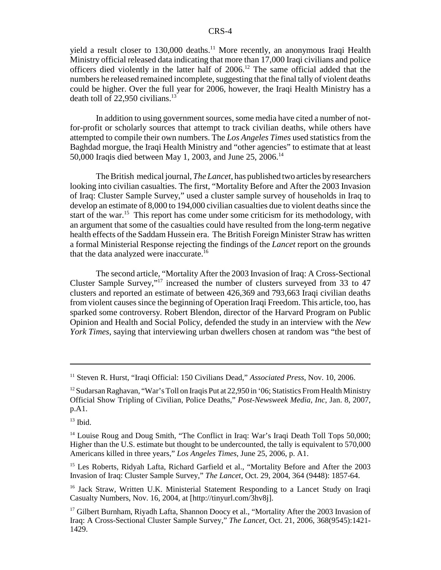yield a result closer to 130,000 deaths.<sup>11</sup> More recently, an anonymous Iraqi Health Ministry official released data indicating that more than 17,000 Iraqi civilians and police officers died violently in the latter half of  $2006$ .<sup>12</sup> The same official added that the numbers he released remained incomplete, suggesting that the final tally of violent deaths could be higher. Over the full year for 2006, however, the Iraqi Health Ministry has a death toll of  $22,950$  civilians.<sup>13</sup>

In addition to using government sources, some media have cited a number of notfor-profit or scholarly sources that attempt to track civilian deaths, while others have attempted to compile their own numbers. The *Los Angeles Times* used statistics from the Baghdad morgue, the Iraqi Health Ministry and "other agencies" to estimate that at least 50,000 Iraqis died between May 1, 2003, and June 25, 2006.14

The British medical journal, *The Lancet*, has published two articles by researchers looking into civilian casualties. The first, "Mortality Before and After the 2003 Invasion of Iraq: Cluster Sample Survey," used a cluster sample survey of households in Iraq to develop an estimate of 8,000 to 194,000 civilian casualties due to violent deaths since the start of the war.<sup>15</sup> This report has come under some criticism for its methodology, with an argument that some of the casualties could have resulted from the long-term negative health effects of the Saddam Hussein era. The British Foreign Minister Straw has written a formal Ministerial Response rejecting the findings of the *Lancet* report on the grounds that the data analyzed were inaccurate.<sup>16</sup>

The second article, "Mortality After the 2003 Invasion of Iraq: A Cross-Sectional Cluster Sample Survey,"17 increased the number of clusters surveyed from 33 to 47 clusters and reported an estimate of between 426,369 and 793,663 Iraqi civilian deaths from violent causes since the beginning of Operation Iraqi Freedom. This article, too, has sparked some controversy. Robert Blendon, director of the Harvard Program on Public Opinion and Health and Social Policy, defended the study in an interview with the *New York Times*, saying that interviewing urban dwellers chosen at random was "the best of

<sup>15</sup> Les Roberts, Ridyah Lafta, Richard Garfield et al., "Mortality Before and After the 2003 Invasion of Iraq: Cluster Sample Survey," *The Lancet*, Oct. 29, 2004, 364 (9448): 1857-64.

<sup>11</sup> Steven R. Hurst, "Iraqi Official: 150 Civilians Dead," *Associated Press*, Nov. 10, 2006.

<sup>&</sup>lt;sup>12</sup> Sudarsan Raghavan, "War's Toll on Iraqis Put at 22,950 in '06; Statistics From Health Ministry Official Show Tripling of Civilian, Police Deaths," *Post-Newsweek Media, Inc*, Jan. 8, 2007, p.A1.

 $13$  Ibid.

<sup>&</sup>lt;sup>14</sup> Louise Roug and Doug Smith, "The Conflict in Iraq: War's Iraqi Death Toll Tops 50,000; Higher than the U.S. estimate but thought to be undercounted, the tally is equivalent to 570,000 Americans killed in three years," *Los Angeles Times*, June 25, 2006, p. A1.

<sup>&</sup>lt;sup>16</sup> Jack Straw, Written U.K. Ministerial Statement Responding to a Lancet Study on Iraqi Casualty Numbers, Nov. 16, 2004, at [http://tinyurl.com/3hv8j].

<sup>&</sup>lt;sup>17</sup> Gilbert Burnham, Riyadh Lafta, Shannon Doocy et al., "Mortality After the 2003 Invasion of Iraq: A Cross-Sectional Cluster Sample Survey," *The Lancet*, Oct. 21, 2006, 368(9545):1421- 1429.